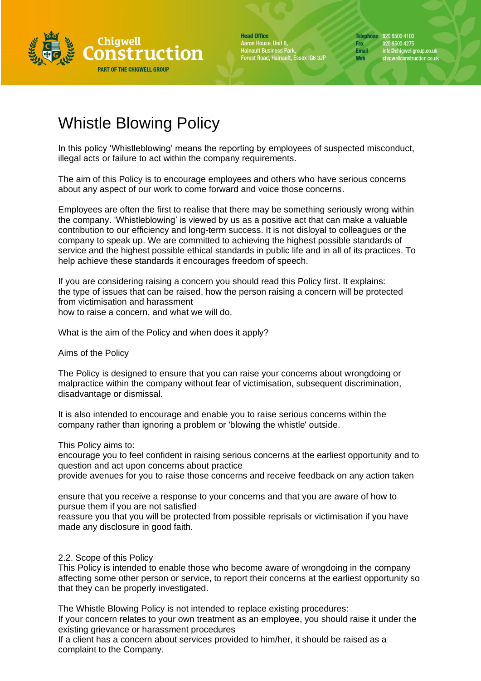

**Head Office** Aaron House, Unit 8, Hainault Business Park,<br>Forest Road, Hainault, Essex IG6 3JP Telephone 020 8500 4100 Fax 020 8500 4275 info@chigwellgroup.co.uk<br>chigwellconstruction.co.uk Email Web

# Whistle Blowing Policy

In this policy 'Whistleblowing' means the reporting by employees of suspected misconduct, illegal acts or failure to act within the company requirements.

The aim of this Policy is to encourage employees and others who have serious concerns about any aspect of our work to come forward and voice those concerns.

Employees are often the first to realise that there may be something seriously wrong within the company. 'Whistleblowing' is viewed by us as a positive act that can make a valuable contribution to our efficiency and long-term success. It is not disloyal to colleagues or the company to speak up. We are committed to achieving the highest possible standards of service and the highest possible ethical standards in public life and in all of its practices. To help achieve these standards it encourages freedom of speech.

If you are considering raising a concern you should read this Policy first. It explains: the type of issues that can be raised, how the person raising a concern will be protected from victimisation and harassment how to raise a concern, and what we will do.

What is the aim of the Policy and when does it apply?

Aims of the Policy

The Policy is designed to ensure that you can raise your concerns about wrongdoing or malpractice within the company without fear of victimisation, subsequent discrimination, disadvantage or dismissal.

It is also intended to encourage and enable you to raise serious concerns within the company rather than ignoring a problem or 'blowing the whistle' outside.

This Policy aims to:

encourage you to feel confident in raising serious concerns at the earliest opportunity and to question and act upon concerns about practice

provide avenues for you to raise those concerns and receive feedback on any action taken

ensure that you receive a response to your concerns and that you are aware of how to pursue them if you are not satisfied

reassure you that you will be protected from possible reprisals or victimisation if you have made any disclosure in good faith.

2.2. Scope of this Policy

This Policy is intended to enable those who become aware of wrongdoing in the company affecting some other person or service, to report their concerns at the earliest opportunity so that they can be properly investigated.

The Whistle Blowing Policy is not intended to replace existing procedures: If your concern relates to your own treatment as an employee, you should raise it under the existing grievance or harassment procedures

If a client has a concern about services provided to him/her, it should be raised as a complaint to the Company.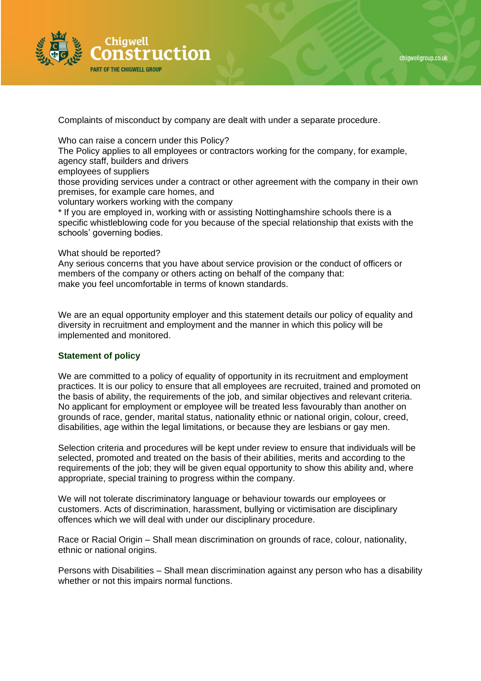



Complaints of misconduct by company are dealt with under a separate procedure.

Who can raise a concern under this Policy?

The Policy applies to all employees or contractors working for the company, for example, agency staff, builders and drivers

employees of suppliers

those providing services under a contract or other agreement with the company in their own premises, for example care homes, and

voluntary workers working with the company

\* If you are employed in, working with or assisting Nottinghamshire schools there is a specific whistleblowing code for you because of the special relationship that exists with the schools' governing bodies.

#### What should be reported?

Any serious concerns that you have about service provision or the conduct of officers or members of the company or others acting on behalf of the company that: make you feel uncomfortable in terms of known standards.

We are an equal opportunity employer and this statement details our policy of equality and diversity in recruitment and employment and the manner in which this policy will be implemented and monitored.

# **Statement of policy**

We are committed to a policy of equality of opportunity in its recruitment and employment practices. It is our policy to ensure that all employees are recruited, trained and promoted on the basis of ability, the requirements of the job, and similar objectives and relevant criteria. No applicant for employment or employee will be treated less favourably than another on grounds of race, gender, marital status, nationality ethnic or national origin, colour, creed, disabilities, age within the legal limitations, or because they are lesbians or gay men.

Selection criteria and procedures will be kept under review to ensure that individuals will be selected, promoted and treated on the basis of their abilities, merits and according to the requirements of the job; they will be given equal opportunity to show this ability and, where appropriate, special training to progress within the company.

We will not tolerate discriminatory language or behaviour towards our employees or customers. Acts of discrimination, harassment, bullying or victimisation are disciplinary offences which we will deal with under our disciplinary procedure.

Race or Racial Origin – Shall mean discrimination on grounds of race, colour, nationality, ethnic or national origins.

Persons with Disabilities – Shall mean discrimination against any person who has a disability whether or not this impairs normal functions.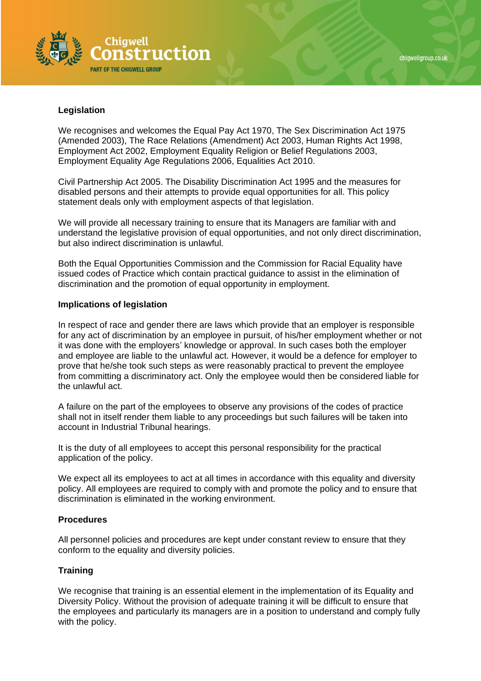

# chiawellaroup.co.uk

# **Legislation**

We recognises and welcomes the Equal Pay Act 1970, The Sex Discrimination Act 1975 (Amended 2003), The Race Relations (Amendment) Act 2003, Human Rights Act 1998, Employment Act 2002, Employment Equality Religion or Belief Regulations 2003, Employment Equality Age Regulations 2006, Equalities Act 2010.

Civil Partnership Act 2005. The Disability Discrimination Act 1995 and the measures for disabled persons and their attempts to provide equal opportunities for all. This policy statement deals only with employment aspects of that legislation.

We will provide all necessary training to ensure that its Managers are familiar with and understand the legislative provision of equal opportunities, and not only direct discrimination, but also indirect discrimination is unlawful.

Both the Equal Opportunities Commission and the Commission for Racial Equality have issued codes of Practice which contain practical guidance to assist in the elimination of discrimination and the promotion of equal opportunity in employment.

### **Implications of legislation**

In respect of race and gender there are laws which provide that an employer is responsible for any act of discrimination by an employee in pursuit, of his/her employment whether or not it was done with the employers' knowledge or approval. In such cases both the employer and employee are liable to the unlawful act. However, it would be a defence for employer to prove that he/she took such steps as were reasonably practical to prevent the employee from committing a discriminatory act. Only the employee would then be considered liable for the unlawful act.

A failure on the part of the employees to observe any provisions of the codes of practice shall not in itself render them liable to any proceedings but such failures will be taken into account in Industrial Tribunal hearings.

It is the duty of all employees to accept this personal responsibility for the practical application of the policy.

We expect all its employees to act at all times in accordance with this equality and diversity policy. All employees are required to comply with and promote the policy and to ensure that discrimination is eliminated in the working environment.

#### **Procedures**

All personnel policies and procedures are kept under constant review to ensure that they conform to the equality and diversity policies.

# **Training**

We recognise that training is an essential element in the implementation of its Equality and Diversity Policy. Without the provision of adequate training it will be difficult to ensure that the employees and particularly its managers are in a position to understand and comply fully with the policy.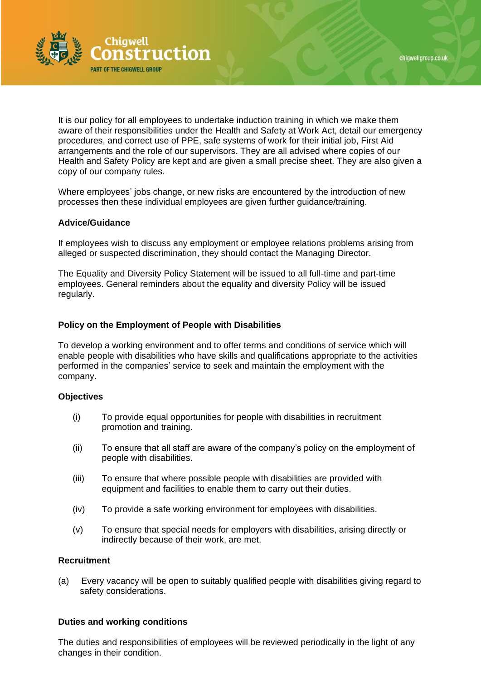

It is our policy for all employees to undertake induction training in which we make them aware of their responsibilities under the Health and Safety at Work Act, detail our emergency procedures, and correct use of PPE, safe systems of work for their initial job, First Aid arrangements and the role of our supervisors. They are all advised where copies of our Health and Safety Policy are kept and are given a small precise sheet. They are also given a copy of our company rules.

Where employees' jobs change, or new risks are encountered by the introduction of new processes then these individual employees are given further guidance/training.

#### **Advice/Guidance**

If employees wish to discuss any employment or employee relations problems arising from alleged or suspected discrimination, they should contact the Managing Director.

The Equality and Diversity Policy Statement will be issued to all full-time and part-time employees. General reminders about the equality and diversity Policy will be issued regularly.

#### **Policy on the Employment of People with Disabilities**

To develop a working environment and to offer terms and conditions of service which will enable people with disabilities who have skills and qualifications appropriate to the activities performed in the companies' service to seek and maintain the employment with the company.

#### **Objectives**

- (i) To provide equal opportunities for people with disabilities in recruitment promotion and training.
- (ii) To ensure that all staff are aware of the company's policy on the employment of people with disabilities.
- (iii) To ensure that where possible people with disabilities are provided with equipment and facilities to enable them to carry out their duties.
- (iv) To provide a safe working environment for employees with disabilities.
- (v) To ensure that special needs for employers with disabilities, arising directly or indirectly because of their work, are met.

#### **Recruitment**

(a) Every vacancy will be open to suitably qualified people with disabilities giving regard to safety considerations.

#### **Duties and working conditions**

The duties and responsibilities of employees will be reviewed periodically in the light of any changes in their condition.